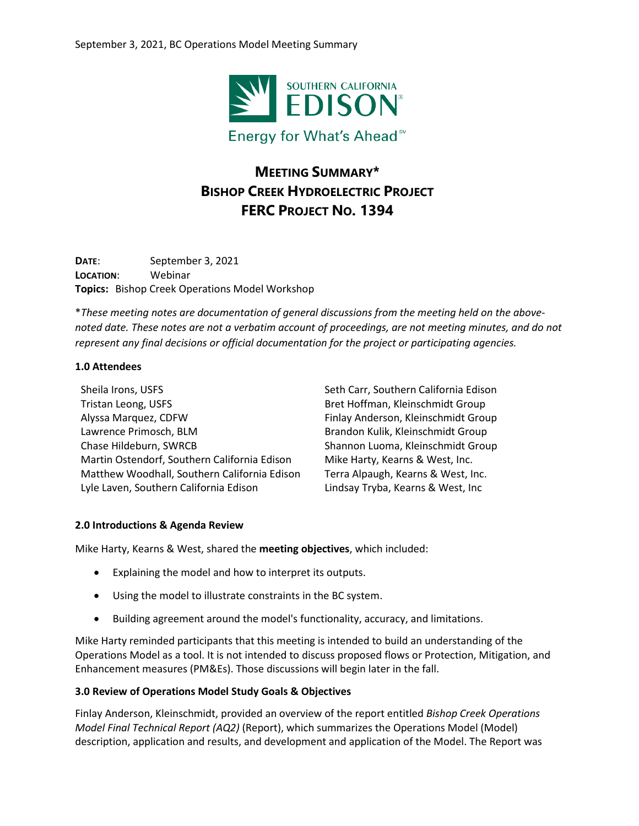

# **MEETING SUMMARY\* BISHOP CREEK HYDROELECTRIC PROJECT FERC PROJECT NO. 1394**

**DATE**: September 3, 2021 **LOCATION**: Webinar **Topics:** Bishop Creek Operations Model Workshop

\**These meeting notes are documentation of general discussions from the meeting held on the abovenoted date. These notes are not a verbatim account of proceedings, are not meeting minutes, and do not represent any final decisions or official documentation for the project or participating agencies.*

## **1.0 Attendees**

Sheila Irons, USFS Tristan Leong, USFS Alyssa Marquez, CDFW Lawrence Primosch, BLM Chase Hildeburn, SWRCB Martin Ostendorf, Southern California Edison Matthew Woodhall, Southern California Edison Lyle Laven, Southern California Edison

Seth Carr, Southern California Edison Bret Hoffman, Kleinschmidt Group Finlay Anderson, Kleinschmidt Group Brandon Kulik, Kleinschmidt Group Shannon Luoma, Kleinschmidt Group Mike Harty, Kearns & West, Inc. Terra Alpaugh, Kearns & West, Inc. Lindsay Tryba, Kearns & West, Inc

# **2.0 Introductions & Agenda Review**

Mike Harty, Kearns & West, shared the **meeting objectives**, which included:

- Explaining the model and how to interpret its outputs.
- Using the model to illustrate constraints in the BC system.
- Building agreement around the model's functionality, accuracy, and limitations.

Mike Harty reminded participants that this meeting is intended to build an understanding of the Operations Model as a tool. It is not intended to discuss proposed flows or Protection, Mitigation, and Enhancement measures (PM&Es). Those discussions will begin later in the fall.

#### **3.0 Review of Operations Model Study Goals & Objectives**

Finlay Anderson, Kleinschmidt, provided an overview of the report entitled *Bishop Creek Operations Model Final Technical Report (AQ2)* (Report), which summarizes the Operations Model (Model) description, application and results, and development and application of the Model. The Report was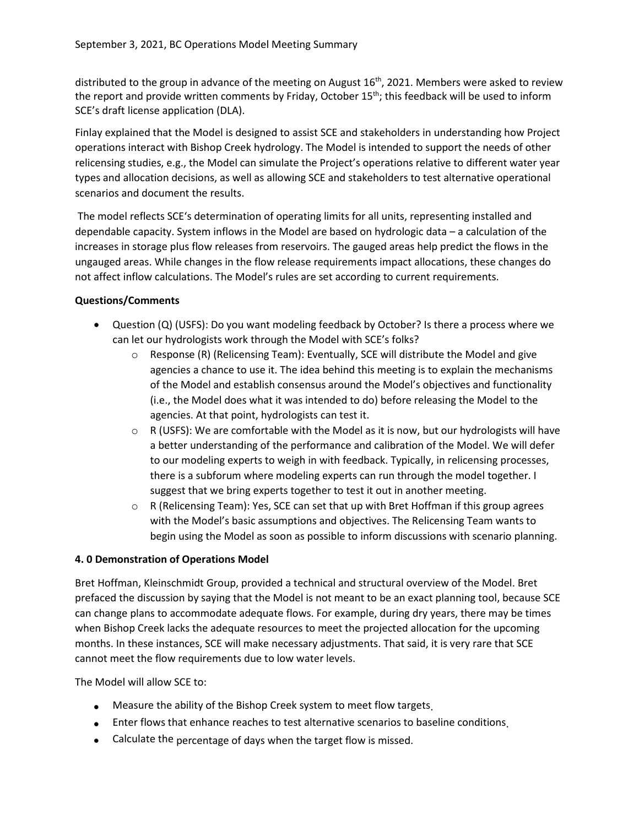distributed to the group in advance of the meeting on August  $16<sup>th</sup>$ , 2021. Members were asked to review the report and provide written comments by Friday, October  $15<sup>th</sup>$ ; this feedback will be used to inform SCE's draft license application (DLA).

Finlay explained that the Model is designed to assist SCE and stakeholders in understanding how Project operations interact with Bishop Creek hydrology. The Model is intended to support the needs of other relicensing studies, e.g., the Model can simulate the Project's operations relative to different water year types and allocation decisions, as well as allowing SCE and stakeholders to test alternative operational scenarios and document the results.

The model reflects SCE's determination of operating limits for all units, representing installed and dependable capacity. System inflows in the Model are based on hydrologic data – a calculation of the increases in storage plus flow releases from reservoirs. The gauged areas help predict the flows in the ungauged areas. While changes in the flow release requirements impact allocations, these changes do not affect inflow calculations. The Model's rules are set according to current requirements.

## **Questions/Comments**

- Question (Q) (USFS): Do you want modeling feedback by October? Is there a process where we can let our hydrologists work through the Model with SCE's folks?
	- $\circ$  Response (R) (Relicensing Team): Eventually, SCE will distribute the Model and give agencies a chance to use it. The idea behind this meeting is to explain the mechanisms of the Model and establish consensus around the Model's objectives and functionality (i.e., the Model does what it was intended to do) before releasing the Model to the agencies. At that point, hydrologists can test it.
	- o R (USFS): We are comfortable with the Model as it is now, but our hydrologists will have a better understanding of the performance and calibration of the Model. We will defer to our modeling experts to weigh in with feedback. Typically, in relicensing processes, there is a subforum where modeling experts can run through the model together. I suggest that we bring experts together to test it out in another meeting.
	- $\circ$  R (Relicensing Team): Yes, SCE can set that up with Bret Hoffman if this group agrees with the Model's basic assumptions and objectives. The Relicensing Team wants to begin using the Model as soon as possible to inform discussions with scenario planning.

#### **4. 0 Demonstration of Operations Model**

Bret Hoffman, Kleinschmidt Group, provided a technical and structural overview of the Model. Bret prefaced the discussion by saying that the Model is not meant to be an exact planning tool, because SCE can change plans to accommodate adequate flows. For example, during dry years, there may be times when Bishop Creek lacks the adequate resources to meet the projected allocation for the upcoming months. In these instances, SCE will make necessary adjustments. That said, it is very rare that SCE cannot meet the flow requirements due to low water levels.

The Model will allow SCE to:

- Measure the ability of the Bishop Creek system to meet flow targets.
- Enter flows that enhance reaches to test alternative scenarios to baseline conditions.
- Calculate the percentage of days when the target flow is missed.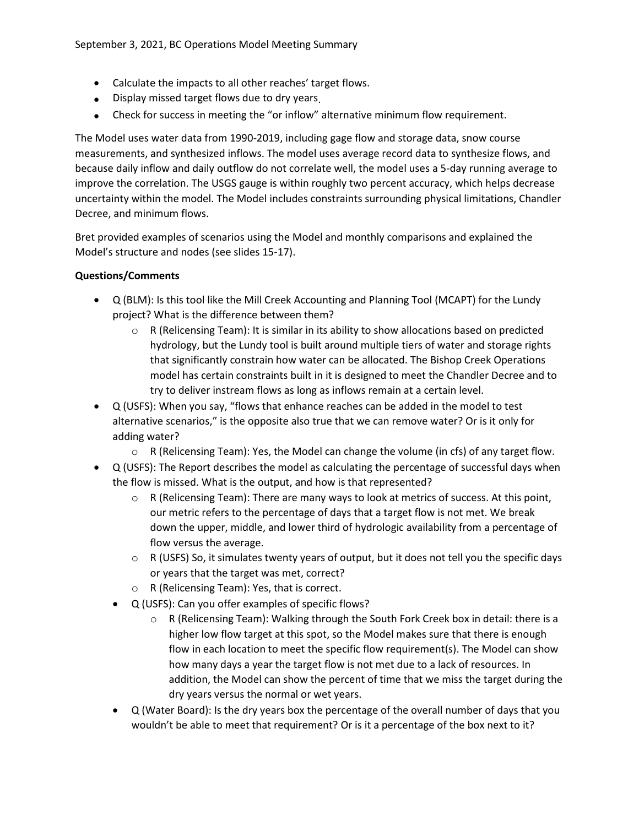- Calculate the impacts to all other reaches' target flows.
- Display missed target flows due to dry years.
- Check for success in meeting the "or inflow" alternative minimum flow requirement.

The Model uses water data from 1990-2019, including gage flow and storage data, snow course measurements, and synthesized inflows. The model uses average record data to synthesize flows, and because daily inflow and daily outflow do not correlate well, the model uses a 5-day running average to improve the correlation. The USGS gauge is within roughly two percent accuracy, which helps decrease uncertainty within the model. The Model includes constraints surrounding physical limitations, Chandler Decree, and minimum flows.

Bret provided examples of scenarios using the Model and monthly comparisons and explained the Model's structure and nodes (see slides 15-17).

## **Questions/Comments**

- Q (BLM): Is this tool like the Mill Creek Accounting and Planning Tool (MCAPT) for the Lundy project? What is the difference between them?
	- $\circ$  R (Relicensing Team): It is similar in its ability to show allocations based on predicted hydrology, but the Lundy tool is built around multiple tiers of water and storage rights that significantly constrain how water can be allocated. The Bishop Creek Operations model has certain constraints built in it is designed to meet the Chandler Decree and to try to deliver instream flows as long as inflows remain at a certain level.
- Q (USFS): When you say, "flows that enhance reaches can be added in the model to test alternative scenarios," is the opposite also true that we can remove water? Or is it only for adding water?
	- $\circ$  R (Relicensing Team): Yes, the Model can change the volume (in cfs) of any target flow.
- Q (USFS): The Report describes the model as calculating the percentage of successful days when the flow is missed. What is the output, and how is that represented?
	- $\circ$  R (Relicensing Team): There are many ways to look at metrics of success. At this point, our metric refers to the percentage of days that a target flow is not met. We break down the upper, middle, and lower third of hydrologic availability from a percentage of flow versus the average.
	- o R (USFS) So, it simulates twenty years of output, but it does not tell you the specific days or years that the target was met, correct?
	- o R (Relicensing Team): Yes, that is correct.
	- Q (USFS): Can you offer examples of specific flows?
		- R (Relicensing Team): Walking through the South Fork Creek box in detail: there is a higher low flow target at this spot, so the Model makes sure that there is enough flow in each location to meet the specific flow requirement(s). The Model can show how many days a year the target flow is not met due to a lack of resources. In addition, the Model can show the percent of time that we miss the target during the dry years versus the normal or wet years.
	- Q (Water Board): Is the dry years box the percentage of the overall number of days that you wouldn't be able to meet that requirement? Or is it a percentage of the box next to it?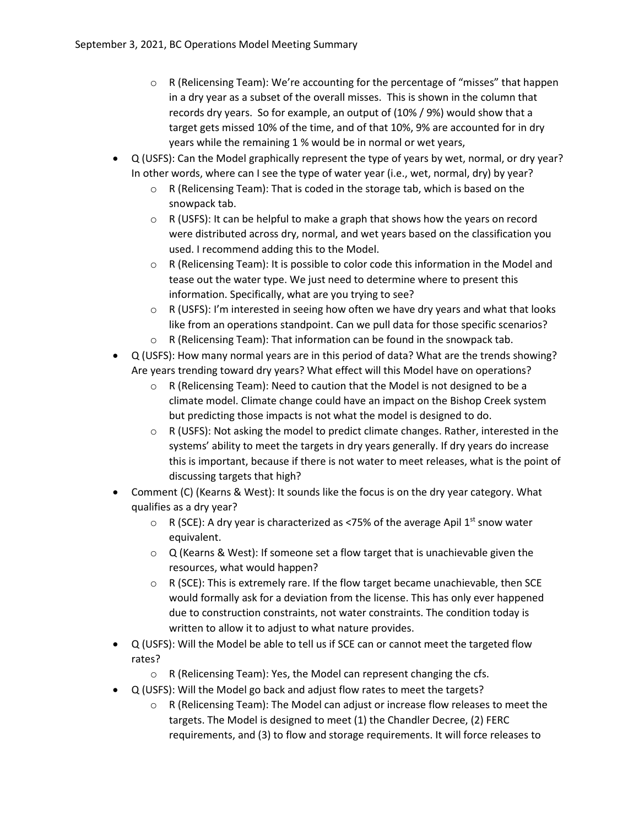- $\circ$  R (Relicensing Team): We're accounting for the percentage of "misses" that happen in a dry year as a subset of the overall misses. This is shown in the column that records dry years. So for example, an output of (10% / 9%) would show that a target gets missed 10% of the time, and of that 10%, 9% are accounted for in dry years while the remaining 1 % would be in normal or wet years,
- Q (USFS): Can the Model graphically represent the type of years by wet, normal, or dry year? In other words, where can I see the type of water year (i.e., wet, normal, dry) by year?
	- o R (Relicensing Team): That is coded in the storage tab, which is based on the snowpack tab.
	- $\circ$  R (USFS): It can be helpful to make a graph that shows how the years on record were distributed across dry, normal, and wet years based on the classification you used. I recommend adding this to the Model.
	- o R (Relicensing Team): It is possible to color code this information in the Model and tease out the water type. We just need to determine where to present this information. Specifically, what are you trying to see?
	- $\circ$  R (USFS): I'm interested in seeing how often we have dry years and what that looks like from an operations standpoint. Can we pull data for those specific scenarios?
	- o R (Relicensing Team): That information can be found in the snowpack tab.
- Q (USFS): How many normal years are in this period of data? What are the trends showing? Are years trending toward dry years? What effect will this Model have on operations?
	- $\circ$  R (Relicensing Team): Need to caution that the Model is not designed to be a climate model. Climate change could have an impact on the Bishop Creek system but predicting those impacts is not what the model is designed to do.
	- $\circ$  R (USFS): Not asking the model to predict climate changes. Rather, interested in the systems' ability to meet the targets in dry years generally. If dry years do increase this is important, because if there is not water to meet releases, what is the point of discussing targets that high?
- Comment (C) (Kearns & West): It sounds like the focus is on the dry year category. What qualifies as a dry year?
	- $\circ$  R (SCE): A dry year is characterized as <75% of the average Apil 1st snow water equivalent.
	- $\circ$  Q (Kearns & West): If someone set a flow target that is unachievable given the resources, what would happen?
	- $\circ$  R (SCE): This is extremely rare. If the flow target became unachievable, then SCE would formally ask for a deviation from the license. This has only ever happened due to construction constraints, not water constraints. The condition today is written to allow it to adjust to what nature provides.
- Q (USFS): Will the Model be able to tell us if SCE can or cannot meet the targeted flow rates?
	- $\circ$  R (Relicensing Team): Yes, the Model can represent changing the cfs.
- Q (USFS): Will the Model go back and adjust flow rates to meet the targets?
	- o R (Relicensing Team): The Model can adjust or increase flow releases to meet the targets. The Model is designed to meet (1) the Chandler Decree, (2) FERC requirements, and (3) to flow and storage requirements. It will force releases to